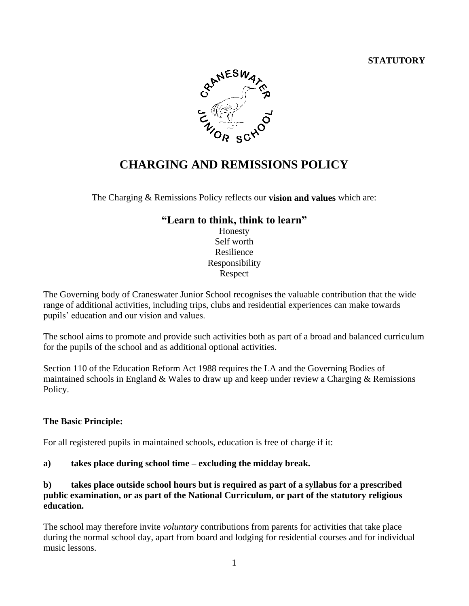#### **STATUTORY**



# **CHARGING AND REMISSIONS POLICY**

The Charging & Remissions Policy reflects our **vision and values** which are:

## **"Learn to think, think to learn"**

Honesty Self worth Resilience Responsibility Respect

The Governing body of Craneswater Junior School recognises the valuable contribution that the wide range of additional activities, including trips, clubs and residential experiences can make towards pupils' education and our vision and values.

The school aims to promote and provide such activities both as part of a broad and balanced curriculum for the pupils of the school and as additional optional activities.

Section 110 of the Education Reform Act 1988 requires the LA and the Governing Bodies of maintained schools in England & Wales to draw up and keep under review a Charging & Remissions Policy.

#### **The Basic Principle:**

For all registered pupils in maintained schools, education is free of charge if it:

**a) takes place during school time – excluding the midday break.**

#### **b) takes place outside school hours but is required as part of a syllabus for a prescribed public examination, or as part of the National Curriculum, or part of the statutory religious education.**

The school may therefore invite *voluntary* contributions from parents for activities that take place during the normal school day, apart from board and lodging for residential courses and for individual music lessons.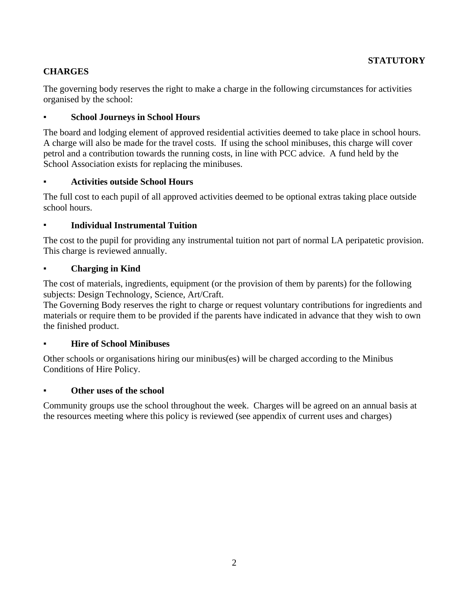## **CHARGES**

The governing body reserves the right to make a charge in the following circumstances for activities organised by the school:

## **School Journeys in School Hours**

The board and lodging element of approved residential activities deemed to take place in school hours. A charge will also be made for the travel costs. If using the school minibuses, this charge will cover petrol and a contribution towards the running costs, in line with PCC advice. A fund held by the School Association exists for replacing the minibuses.

## ▪ **Activities outside School Hours**

The full cost to each pupil of all approved activities deemed to be optional extras taking place outside school hours.

## ▪ **Individual Instrumental Tuition**

The cost to the pupil for providing any instrumental tuition not part of normal LA peripatetic provision. This charge is reviewed annually.

## **Charging in Kind**

The cost of materials, ingredients, equipment (or the provision of them by parents) for the following subjects: Design Technology, Science, Art/Craft.

The Governing Body reserves the right to charge or request voluntary contributions for ingredients and materials or require them to be provided if the parents have indicated in advance that they wish to own the finished product.

#### **Hire of School Minibuses**

Other schools or organisations hiring our minibus(es) will be charged according to the Minibus Conditions of Hire Policy.

#### **Other uses of the school**

Community groups use the school throughout the week. Charges will be agreed on an annual basis at the resources meeting where this policy is reviewed (see appendix of current uses and charges)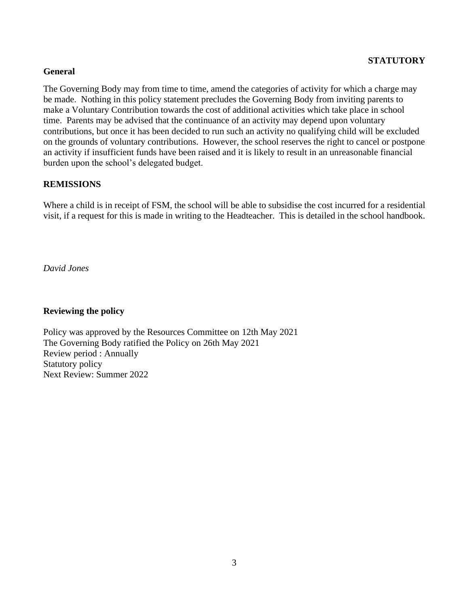#### **STATUTORY**

#### **General**

The Governing Body may from time to time, amend the categories of activity for which a charge may be made. Nothing in this policy statement precludes the Governing Body from inviting parents to make a Voluntary Contribution towards the cost of additional activities which take place in school time. Parents may be advised that the continuance of an activity may depend upon voluntary contributions, but once it has been decided to run such an activity no qualifying child will be excluded on the grounds of voluntary contributions. However, the school reserves the right to cancel or postpone an activity if insufficient funds have been raised and it is likely to result in an unreasonable financial burden upon the school's delegated budget.

#### **REMISSIONS**

Where a child is in receipt of FSM, the school will be able to subsidise the cost incurred for a residential visit, if a request for this is made in writing to the Headteacher. This is detailed in the school handbook.

*David Jones*

#### **Reviewing the policy**

Policy was approved by the Resources Committee on 12th May 2021 The Governing Body ratified the Policy on 26th May 2021 Review period : Annually Statutory policy Next Review: Summer 2022